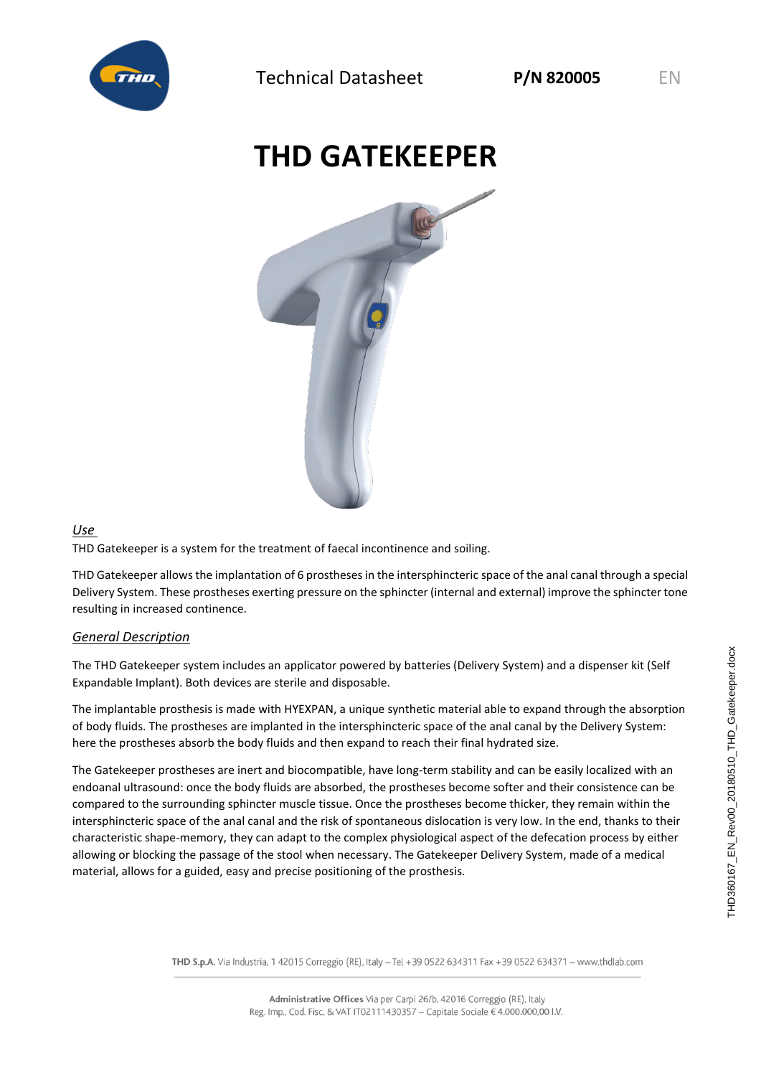

## **THD GATEKEEPER**



## *Use*

THD Gatekeeper is a system for the treatment of faecal incontinence and soiling.

THD Gatekeeper allows the implantation of 6 prostheses in the intersphincteric space of the anal canal through a special Delivery System. These prostheses exerting pressure on the sphincter (internal and external) improve the sphincter tone resulting in increased continence.

## *General Description*

The THD Gatekeeper system includes an applicator powered by batteries (Delivery System) and a dispenser kit (Self Expandable Implant). Both devices are sterile and disposable.

The implantable prosthesis is made with HYEXPAN, a unique synthetic material able to expand through the absorption of body fluids. The prostheses are implanted in the intersphincteric space of the anal canal by the Delivery System: here the prostheses absorb the body fluids and then expand to reach their final hydrated size.

The Gatekeeper prostheses are inert and biocompatible, have long-term stability and can be easily localized with an endoanal ultrasound: once the body fluids are absorbed, the prostheses become softer and their consistence can be compared to the surrounding sphincter muscle tissue. Once the prostheses become thicker, they remain within the intersphincteric space of the anal canal and the risk of spontaneous dislocation is very low. In the end, thanks to their characteristic shape-memory, they can adapt to the complex physiological aspect of the defecation process by either allowing or blocking the passage of the stool when necessary. The Gatekeeper Delivery System, made of a medical material, allows for a guided, easy and precise positioning of the prosthesis.

THD S.p.A. Via Industria, 1 42015 Correggio (RE), Italy - Tel +39 0522 634311 Fax +39 0522 634371 - www.thdlab.com